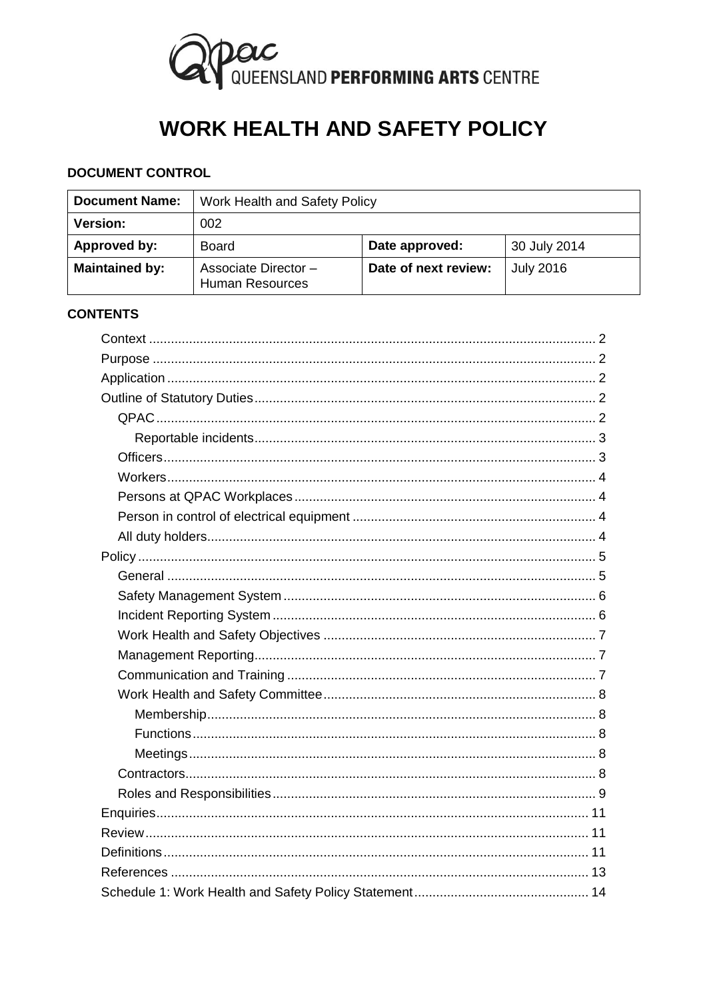

# **WORK HEALTH AND SAFETY POLICY**

# **DOCUMENT CONTROL**

| <b>Document Name:</b> | Work Health and Safety Policy                 |                      |                  |
|-----------------------|-----------------------------------------------|----------------------|------------------|
| <b>Version:</b>       | 002                                           |                      |                  |
| Approved by:          | <b>Board</b>                                  | Date approved:       | 30 July 2014     |
| <b>Maintained by:</b> | Associate Director-<br><b>Human Resources</b> | Date of next review: | <b>July 2016</b> |

#### **CONTENTS**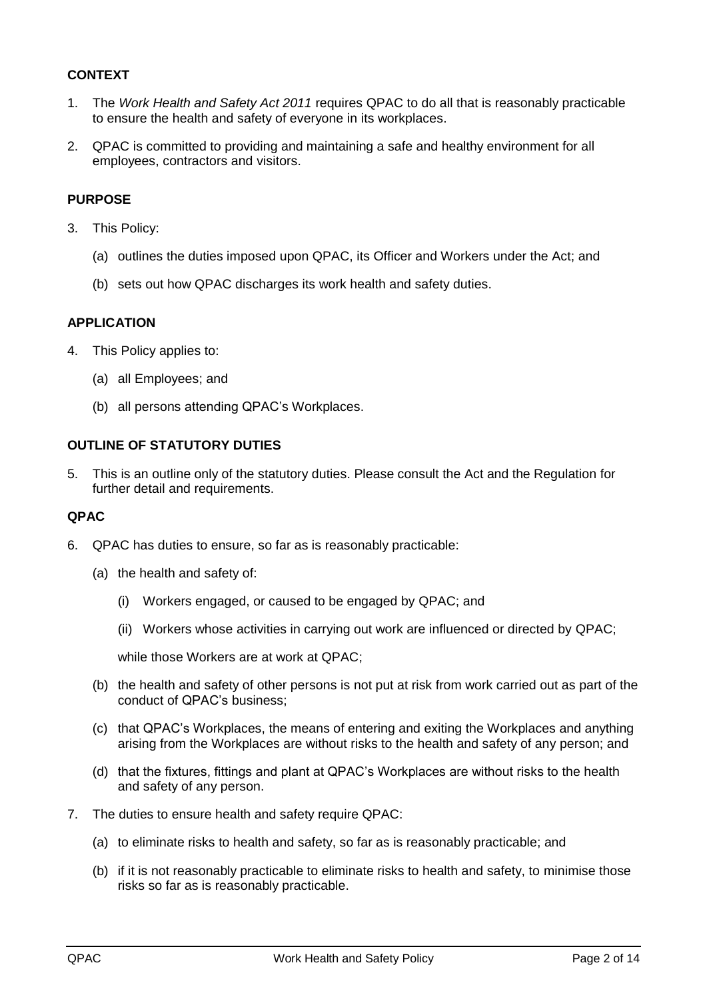# <span id="page-1-0"></span>**CONTEXT**

- 1. The *Work Health and Safety Act 2011* requires QPAC to do all that is reasonably practicable to ensure the health and safety of everyone in its workplaces.
- 2. QPAC is committed to providing and maintaining a safe and healthy environment for all employees, contractors and visitors.

#### <span id="page-1-1"></span>**PURPOSE**

- 3. This Policy:
	- (a) outlines the duties imposed upon QPAC, its Officer and Workers under the Act; and
	- (b) sets out how QPAC discharges its work health and safety duties.

#### <span id="page-1-2"></span>**APPLICATION**

- 4. This Policy applies to:
	- (a) all Employees; and
	- (b) all persons attending QPAC's Workplaces.

#### <span id="page-1-3"></span>**OUTLINE OF STATUTORY DUTIES**

5. This is an outline only of the statutory duties. Please consult the Act and the Regulation for further detail and requirements.

#### <span id="page-1-4"></span>**QPAC**

- 6. QPAC has duties to ensure, so far as is reasonably practicable:
	- (a) the health and safety of:
		- (i) Workers engaged, or caused to be engaged by QPAC; and
		- (ii) Workers whose activities in carrying out work are influenced or directed by QPAC;

while those Workers are at work at QPAC;

- (b) the health and safety of other persons is not put at risk from work carried out as part of the conduct of QPAC's business;
- (c) that QPAC's Workplaces, the means of entering and exiting the Workplaces and anything arising from the Workplaces are without risks to the health and safety of any person; and
- (d) that the fixtures, fittings and plant at QPAC's Workplaces are without risks to the health and safety of any person.
- 7. The duties to ensure health and safety require QPAC:
	- (a) to eliminate risks to health and safety, so far as is reasonably practicable; and
	- (b) if it is not reasonably practicable to eliminate risks to health and safety, to minimise those risks so far as is reasonably practicable.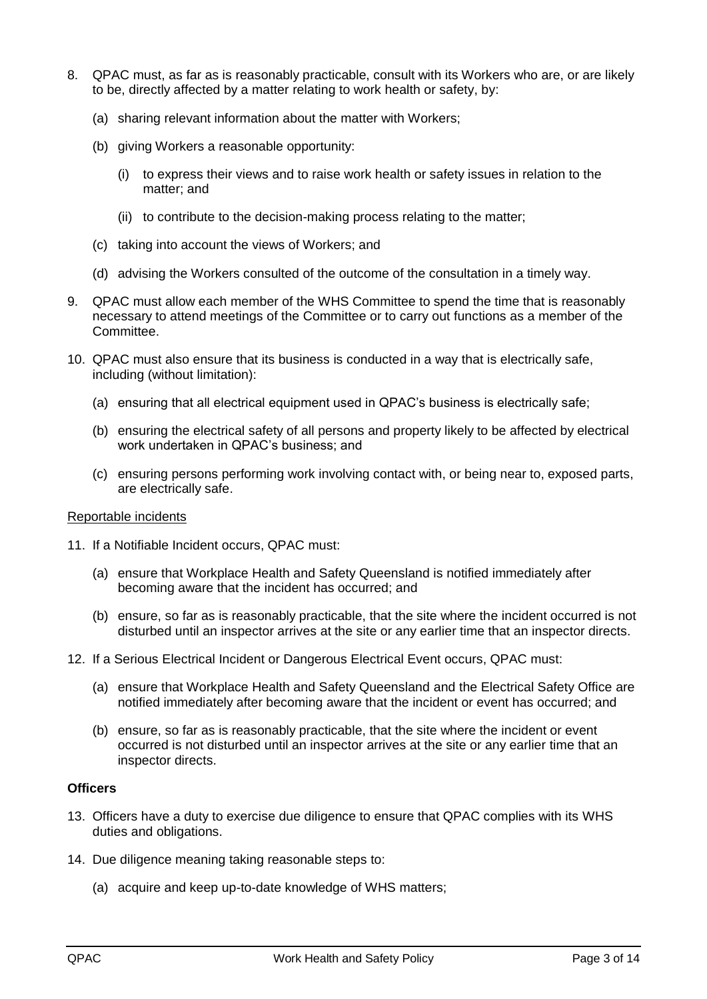- 8. QPAC must, as far as is reasonably practicable, consult with its Workers who are, or are likely to be, directly affected by a matter relating to work health or safety, by:
	- (a) sharing relevant information about the matter with Workers;
	- (b) giving Workers a reasonable opportunity:
		- (i) to express their views and to raise work health or safety issues in relation to the matter; and
		- (ii) to contribute to the decision-making process relating to the matter;
	- (c) taking into account the views of Workers; and
	- (d) advising the Workers consulted of the outcome of the consultation in a timely way.
- 9. QPAC must allow each member of the WHS Committee to spend the time that is reasonably necessary to attend meetings of the Committee or to carry out functions as a member of the Committee.
- 10. QPAC must also ensure that its business is conducted in a way that is electrically safe, including (without limitation):
	- (a) ensuring that all electrical equipment used in QPAC's business is electrically safe;
	- (b) ensuring the electrical safety of all persons and property likely to be affected by electrical work undertaken in QPAC's business; and
	- (c) ensuring persons performing work involving contact with, or being near to, exposed parts, are electrically safe.

#### <span id="page-2-0"></span>Reportable incidents

- 11. If a Notifiable Incident occurs, QPAC must:
	- (a) ensure that Workplace Health and Safety Queensland is notified immediately after becoming aware that the incident has occurred; and
	- (b) ensure, so far as is reasonably practicable, that the site where the incident occurred is not disturbed until an inspector arrives at the site or any earlier time that an inspector directs.
- 12. If a Serious Electrical Incident or Dangerous Electrical Event occurs, QPAC must:
	- (a) ensure that Workplace Health and Safety Queensland and the Electrical Safety Office are notified immediately after becoming aware that the incident or event has occurred; and
	- (b) ensure, so far as is reasonably practicable, that the site where the incident or event occurred is not disturbed until an inspector arrives at the site or any earlier time that an inspector directs.

#### <span id="page-2-1"></span>**Officers**

- 13. Officers have a duty to exercise due diligence to ensure that QPAC complies with its WHS duties and obligations.
- 14. Due diligence meaning taking reasonable steps to:
	- (a) acquire and keep up-to-date knowledge of WHS matters;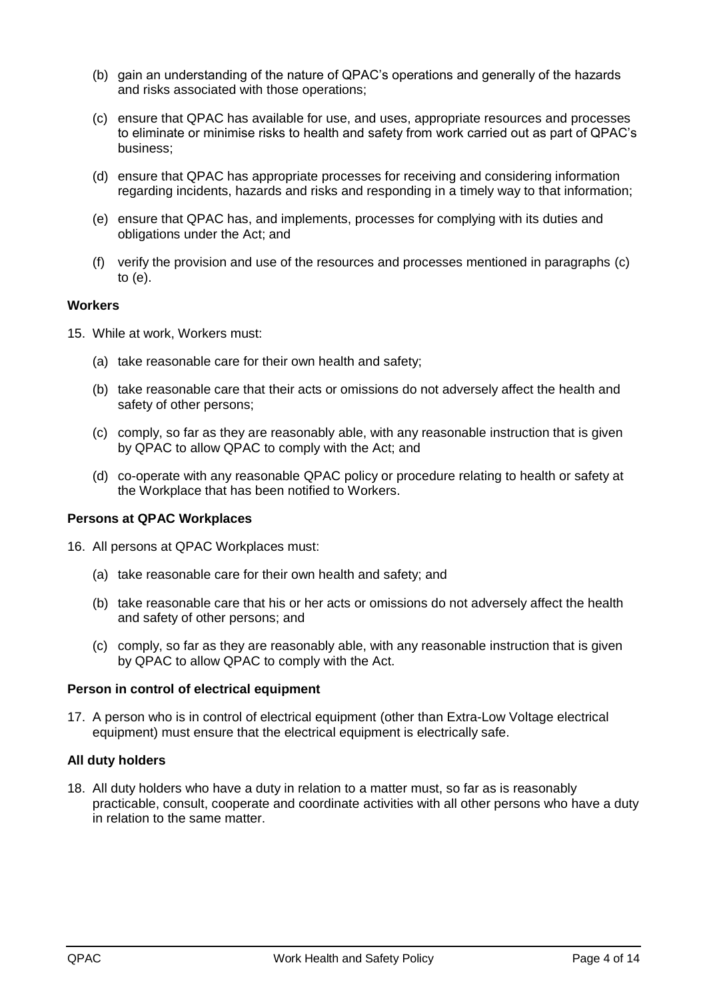- (b) gain an understanding of the nature of QPAC's operations and generally of the hazards and risks associated with those operations;
- <span id="page-3-4"></span>(c) ensure that QPAC has available for use, and uses, appropriate resources and processes to eliminate or minimise risks to health and safety from work carried out as part of QPAC's business;
- (d) ensure that QPAC has appropriate processes for receiving and considering information regarding incidents, hazards and risks and responding in a timely way to that information;
- <span id="page-3-5"></span>(e) ensure that QPAC has, and implements, processes for complying with its duties and obligations under the Act; and
- (f) verify the provision and use of the resources and processes mentioned in paragraphs [\(c\)](#page-3-4) to [\(e\).](#page-3-5)

# <span id="page-3-0"></span>**Workers**

- 15. While at work, Workers must:
	- (a) take reasonable care for their own health and safety;
	- (b) take reasonable care that their acts or omissions do not adversely affect the health and safety of other persons;
	- (c) comply, so far as they are reasonably able, with any reasonable instruction that is given by QPAC to allow QPAC to comply with the Act; and
	- (d) co-operate with any reasonable QPAC policy or procedure relating to health or safety at the Workplace that has been notified to Workers.

#### <span id="page-3-1"></span>**Persons at QPAC Workplaces**

- <span id="page-3-6"></span>16. All persons at QPAC Workplaces must:
	- (a) take reasonable care for their own health and safety; and
	- (b) take reasonable care that his or her acts or omissions do not adversely affect the health and safety of other persons; and
	- (c) comply, so far as they are reasonably able, with any reasonable instruction that is given by QPAC to allow QPAC to comply with the Act.

#### <span id="page-3-2"></span>**Person in control of electrical equipment**

17. A person who is in control of electrical equipment (other than Extra-Low Voltage electrical equipment) must ensure that the electrical equipment is electrically safe.

#### <span id="page-3-3"></span>**All duty holders**

18. All duty holders who have a duty in relation to a matter must, so far as is reasonably practicable, consult, cooperate and coordinate activities with all other persons who have a duty in relation to the same matter.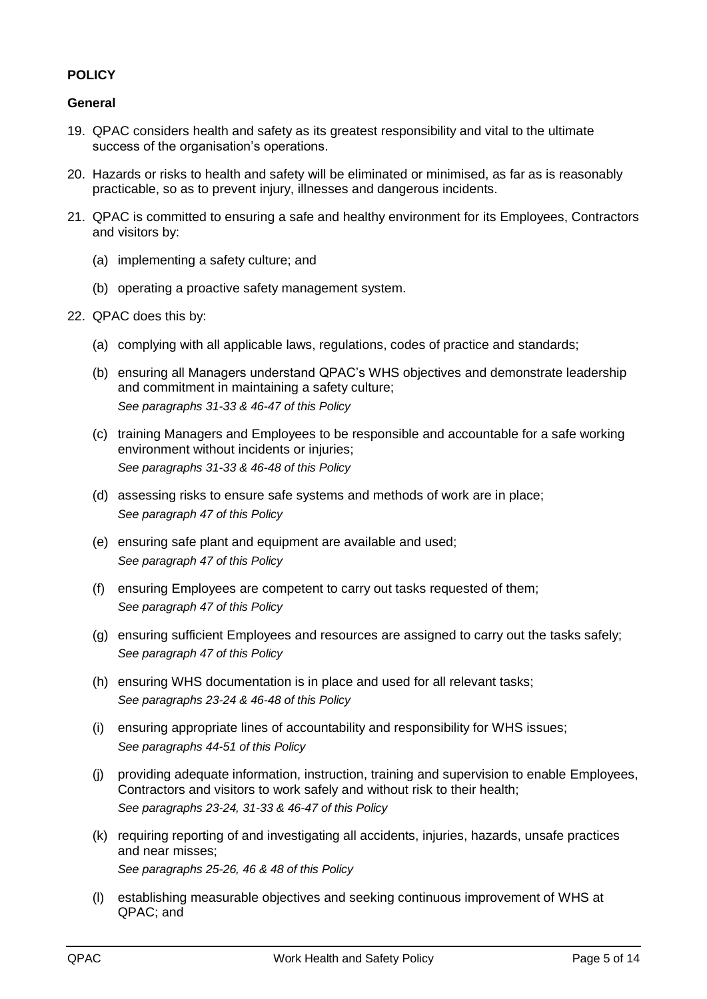# <span id="page-4-0"></span>**POLICY**

#### <span id="page-4-1"></span>**General**

- 19. QPAC considers health and safety as its greatest responsibility and vital to the ultimate success of the organisation's operations.
- 20. Hazards or risks to health and safety will be eliminated or minimised, as far as is reasonably practicable, so as to prevent injury, illnesses and dangerous incidents.
- 21. QPAC is committed to ensuring a safe and healthy environment for its Employees, Contractors and visitors by:
	- (a) implementing a safety culture; and
	- (b) operating a proactive safety management system.
- 22. QPAC does this by:
	- (a) complying with all applicable laws, regulations, codes of practice and standards;
	- (b) ensuring all Managers understand QPAC's WHS objectives and demonstrate leadership and commitment in maintaining a safety culture; *See paragraphs [31](#page-6-3)[-33](#page-6-4) & [46](#page-8-1)[-47](#page-9-0) of this Policy*
	- (c) training Managers and Employees to be responsible and accountable for a safe working environment without incidents or injuries; *See paragraphs [31](#page-6-3)[-33](#page-6-4) & [46](#page-8-1)[-48](#page-9-1) of this Policy*
	- (d) assessing risks to ensure safe systems and methods of work are in place; *See paragraph [47](#page-9-0) of this Policy*
	- (e) ensuring safe plant and equipment are available and used; *See paragraph [47](#page-9-0) of this Policy*
	- (f) ensuring Employees are competent to carry out tasks requested of them; *See paragraph [47](#page-9-0) of this Policy*
	- (g) ensuring sufficient Employees and resources are assigned to carry out the tasks safely; *See paragraph [47](#page-9-0) of this Policy*
	- (h) ensuring WHS documentation is in place and used for all relevant tasks; *See paragraphs [23](#page-5-2)[-24](#page-5-3) & [46](#page-8-1)[-48](#page-9-1) of this Policy*
	- (i) ensuring appropriate lines of accountability and responsibility for WHS issues; *See paragraphs [44](#page-8-2)[-51](#page-10-3) of this Policy*
	- (j) providing adequate information, instruction, training and supervision to enable Employees, Contractors and visitors to work safely and without risk to their health; *See paragraphs [23](#page-5-2)[-24,](#page-5-3) [31-](#page-6-3)[33](#page-6-4) & [46](#page-8-1)[-47](#page-9-0) of this Policy*
	- (k) requiring reporting of and investigating all accidents, injuries, hazards, unsafe practices and near misses; *See paragraphs [25](#page-5-4)[-26,](#page-5-5) [46](#page-8-1) [& 48](#page-9-1) of this Policy*
	- (l) establishing measurable objectives and seeking continuous improvement of WHS at QPAC; and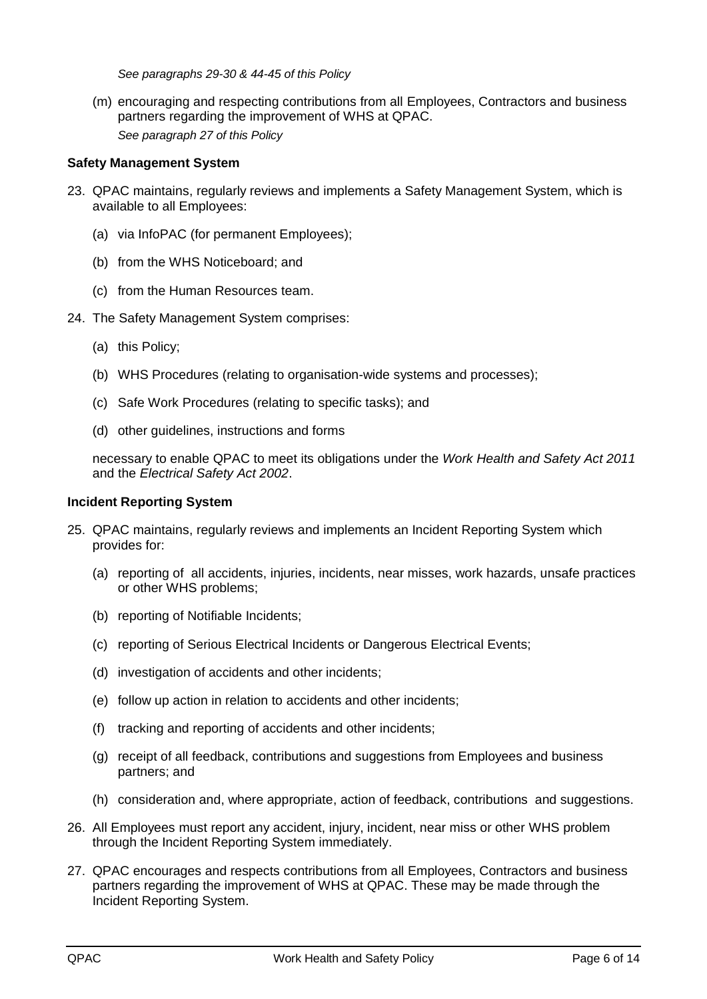*See paragraphs [29](#page-6-5)[-30](#page-6-6) & [44](#page-8-2)[-45](#page-8-3) of this Policy*

(m) encouraging and respecting contributions from all Employees, Contractors and business partners regarding the improvement of WHS at QPAC. *See paragraph [27](#page-5-6) of this Policy*

#### <span id="page-5-0"></span>**Safety Management System**

- <span id="page-5-2"></span>23. QPAC maintains, regularly reviews and implements a Safety Management System, which is available to all Employees:
	- (a) via InfoPAC (for permanent Employees);
	- (b) from the WHS Noticeboard; and
	- (c) from the Human Resources team.
- <span id="page-5-3"></span>24. The Safety Management System comprises:
	- (a) this Policy;
	- (b) WHS Procedures (relating to organisation-wide systems and processes);
	- (c) Safe Work Procedures (relating to specific tasks); and
	- (d) other guidelines, instructions and forms

necessary to enable QPAC to meet its obligations under the *Work Health and Safety Act 2011* and the *Electrical Safety Act 2002*.

#### <span id="page-5-1"></span>**Incident Reporting System**

- <span id="page-5-4"></span>25. QPAC maintains, regularly reviews and implements an Incident Reporting System which provides for:
	- (a) reporting of all accidents, injuries, incidents, near misses, work hazards, unsafe practices or other WHS problems;
	- (b) reporting of Notifiable Incidents;
	- (c) reporting of Serious Electrical Incidents or Dangerous Electrical Events;
	- (d) investigation of accidents and other incidents;
	- (e) follow up action in relation to accidents and other incidents;
	- (f) tracking and reporting of accidents and other incidents;
	- (g) receipt of all feedback, contributions and suggestions from Employees and business partners; and
	- (h) consideration and, where appropriate, action of feedback, contributions and suggestions.
- <span id="page-5-5"></span>26. All Employees must report any accident, injury, incident, near miss or other WHS problem through the Incident Reporting System immediately.
- <span id="page-5-6"></span>27. QPAC encourages and respects contributions from all Employees, Contractors and business partners regarding the improvement of WHS at QPAC. These may be made through the Incident Reporting System.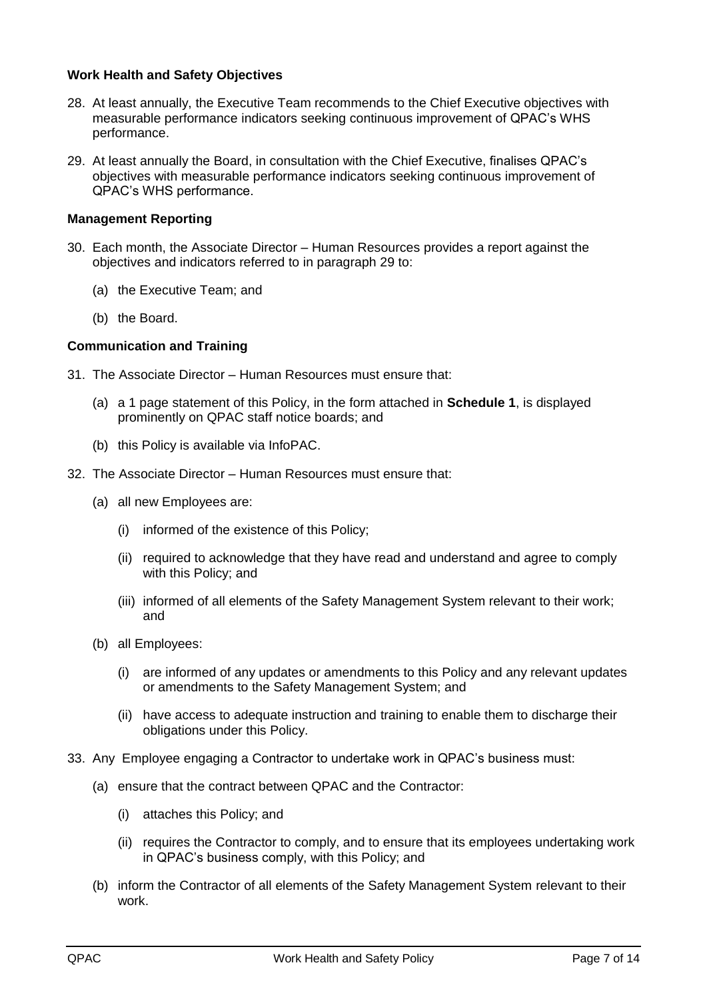#### <span id="page-6-0"></span>**Work Health and Safety Objectives**

- <span id="page-6-7"></span>28. At least annually, the Executive Team recommends to the Chief Executive objectives with measurable performance indicators seeking continuous improvement of QPAC's WHS performance.
- <span id="page-6-5"></span>29. At least annually the Board, in consultation with the Chief Executive, finalises QPAC's objectives with measurable performance indicators seeking continuous improvement of QPAC's WHS performance.

# <span id="page-6-1"></span>**Management Reporting**

- <span id="page-6-6"></span>30. Each month, the Associate Director – Human Resources provides a report against the objectives and indicators referred to in paragraph [29](#page-6-5) to:
	- (a) the Executive Team; and
	- (b) the Board.

# <span id="page-6-2"></span>**Communication and Training**

- <span id="page-6-3"></span>31. The Associate Director – Human Resources must ensure that:
	- (a) a 1 page statement of this Policy, in the form attached in **Schedule 1**, is displayed prominently on QPAC staff notice boards; and
	- (b) this Policy is available via InfoPAC.
- <span id="page-6-8"></span>32. The Associate Director – Human Resources must ensure that:
	- (a) all new Employees are:
		- (i) informed of the existence of this Policy;
		- (ii) required to acknowledge that they have read and understand and agree to comply with this Policy; and
		- (iii) informed of all elements of the Safety Management System relevant to their work; and
	- (b) all Employees:
		- (i) are informed of any updates or amendments to this Policy and any relevant updates or amendments to the Safety Management System; and
		- (ii) have access to adequate instruction and training to enable them to discharge their obligations under this Policy.
- <span id="page-6-4"></span>33. Any Employee engaging a Contractor to undertake work in QPAC's business must:
	- (a) ensure that the contract between QPAC and the Contractor:
		- (i) attaches this Policy; and
		- (ii) requires the Contractor to comply, and to ensure that its employees undertaking work in QPAC's business comply, with this Policy; and
	- (b) inform the Contractor of all elements of the Safety Management System relevant to their work.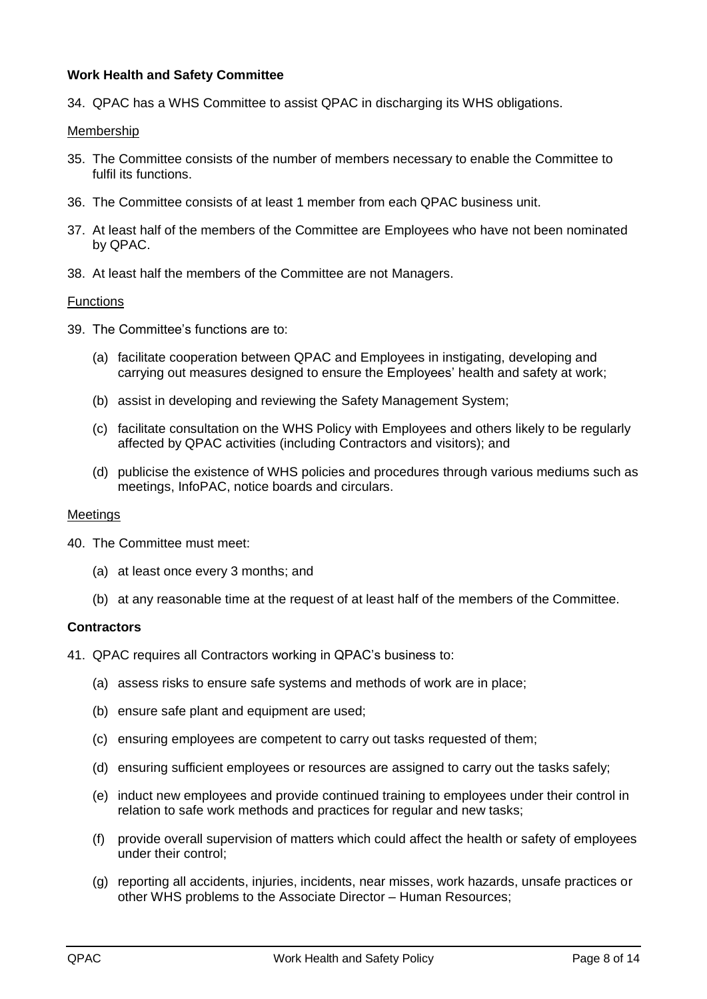# <span id="page-7-0"></span>**Work Health and Safety Committee**

34. QPAC has a WHS Committee to assist QPAC in discharging its WHS obligations.

#### <span id="page-7-1"></span>Membership

- 35. The Committee consists of the number of members necessary to enable the Committee to fulfil its functions.
- 36. The Committee consists of at least 1 member from each QPAC business unit.
- 37. At least half of the members of the Committee are Employees who have not been nominated by QPAC.
- 38. At least half the members of the Committee are not Managers.

#### <span id="page-7-2"></span>Functions

- <span id="page-7-5"></span>39. The Committee's functions are to:
	- (a) facilitate cooperation between QPAC and Employees in instigating, developing and carrying out measures designed to ensure the Employees' health and safety at work;
	- (b) assist in developing and reviewing the Safety Management System;
	- (c) facilitate consultation on the WHS Policy with Employees and others likely to be regularly affected by QPAC activities (including Contractors and visitors); and
	- (d) publicise the existence of WHS policies and procedures through various mediums such as meetings, InfoPAC, notice boards and circulars.

#### <span id="page-7-3"></span>Meetings

- 40. The Committee must meet:
	- (a) at least once every 3 months; and
	- (b) at any reasonable time at the request of at least half of the members of the Committee.

#### <span id="page-7-4"></span>**Contractors**

<span id="page-7-6"></span>41. QPAC requires all Contractors working in QPAC's business to:

- (a) assess risks to ensure safe systems and methods of work are in place;
- (b) ensure safe plant and equipment are used;
- (c) ensuring employees are competent to carry out tasks requested of them;
- (d) ensuring sufficient employees or resources are assigned to carry out the tasks safely;
- (e) induct new employees and provide continued training to employees under their control in relation to safe work methods and practices for regular and new tasks;
- (f) provide overall supervision of matters which could affect the health or safety of employees under their control;
- (g) reporting all accidents, injuries, incidents, near misses, work hazards, unsafe practices or other WHS problems to the Associate Director – Human Resources;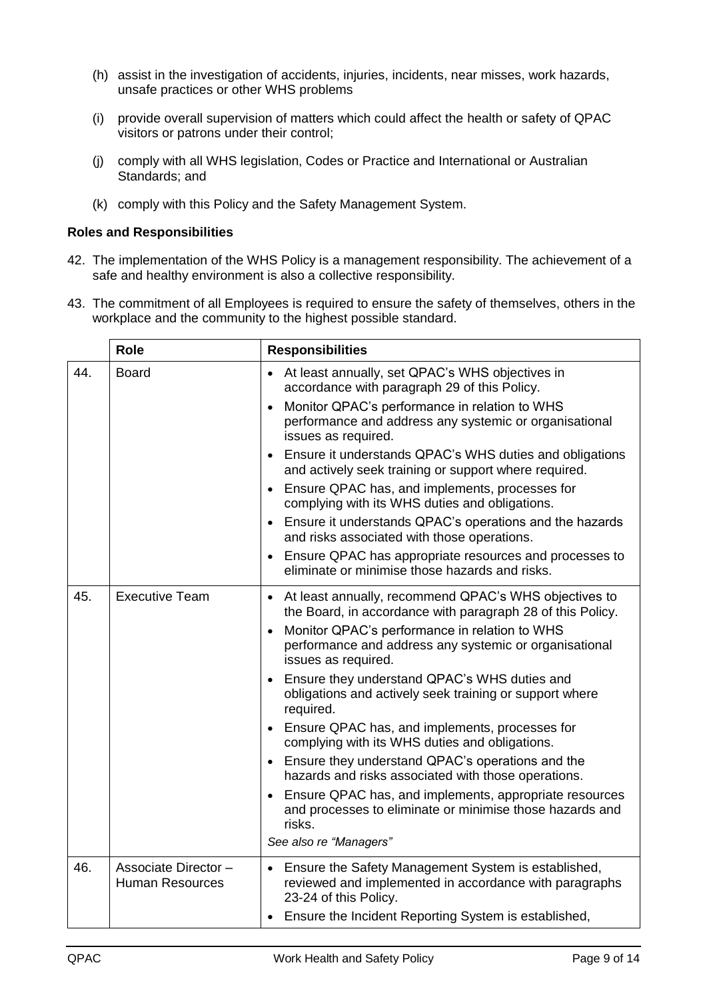- (h) assist in the investigation of accidents, injuries, incidents, near misses, work hazards, unsafe practices or other WHS problems
- (i) provide overall supervision of matters which could affect the health or safety of QPAC visitors or patrons under their control;
- (j) comply with all WHS legislation, Codes or Practice and International or Australian Standards; and
- (k) comply with this Policy and the Safety Management System.

# <span id="page-8-0"></span>**Roles and Responsibilities**

- 42. The implementation of the WHS Policy is a management responsibility. The achievement of a safe and healthy environment is also a collective responsibility.
- 43. The commitment of all Employees is required to ensure the safety of themselves, others in the workplace and the community to the highest possible standard.

<span id="page-8-3"></span><span id="page-8-2"></span><span id="page-8-1"></span>

|     | <b>Role</b>                                    | <b>Responsibilities</b>                                                                                                                                                                                                                                                                                                                                                                                                                                                                                                                                                                                                                                                                                                                                                                                                              |
|-----|------------------------------------------------|--------------------------------------------------------------------------------------------------------------------------------------------------------------------------------------------------------------------------------------------------------------------------------------------------------------------------------------------------------------------------------------------------------------------------------------------------------------------------------------------------------------------------------------------------------------------------------------------------------------------------------------------------------------------------------------------------------------------------------------------------------------------------------------------------------------------------------------|
| 44. | <b>Board</b>                                   | At least annually, set QPAC's WHS objectives in<br>$\bullet$<br>accordance with paragraph 29 of this Policy.<br>Monitor QPAC's performance in relation to WHS<br>$\bullet$<br>performance and address any systemic or organisational<br>issues as required.<br>Ensure it understands QPAC's WHS duties and obligations<br>$\bullet$<br>and actively seek training or support where required.<br>Ensure QPAC has, and implements, processes for<br>$\bullet$<br>complying with its WHS duties and obligations.<br>Ensure it understands QPAC's operations and the hazards<br>$\bullet$<br>and risks associated with those operations.<br>Ensure QPAC has appropriate resources and processes to<br>$\bullet$<br>eliminate or minimise those hazards and risks.                                                                        |
| 45. | <b>Executive Team</b>                          | At least annually, recommend QPAC's WHS objectives to<br>$\bullet$<br>the Board, in accordance with paragraph 28 of this Policy.<br>Monitor QPAC's performance in relation to WHS<br>$\bullet$<br>performance and address any systemic or organisational<br>issues as required.<br>Ensure they understand QPAC's WHS duties and<br>$\bullet$<br>obligations and actively seek training or support where<br>required.<br>Ensure QPAC has, and implements, processes for<br>$\bullet$<br>complying with its WHS duties and obligations.<br>Ensure they understand QPAC's operations and the<br>$\bullet$<br>hazards and risks associated with those operations.<br>Ensure QPAC has, and implements, appropriate resources<br>$\bullet$<br>and processes to eliminate or minimise those hazards and<br>risks.<br>See also re "Managers" |
| 46. | Associate Director -<br><b>Human Resources</b> | • Ensure the Safety Management System is established,<br>reviewed and implemented in accordance with paragraphs<br>23-24 of this Policy.<br>Ensure the Incident Reporting System is established,                                                                                                                                                                                                                                                                                                                                                                                                                                                                                                                                                                                                                                     |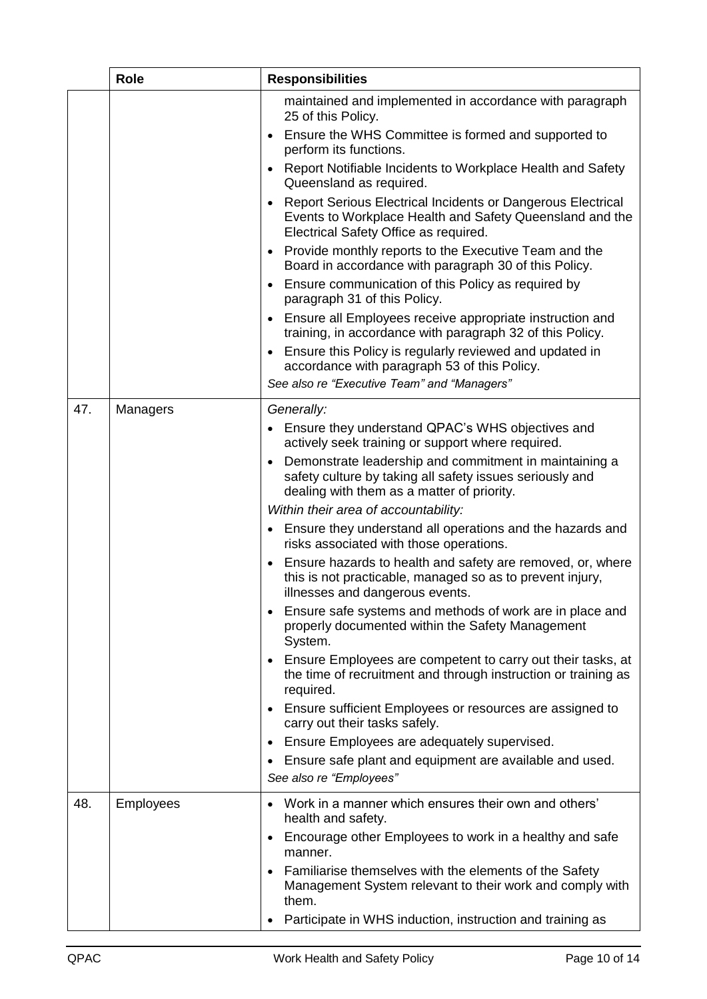<span id="page-9-1"></span><span id="page-9-0"></span>

|     | <b>Role</b>      | <b>Responsibilities</b>                                                                                                                                                                                                                                                                                                                                                                                                                                                                                                                                                                                                                                                                                                                                                                                                                                                                                                                                                                                                                                                                                                                                                                                     |
|-----|------------------|-------------------------------------------------------------------------------------------------------------------------------------------------------------------------------------------------------------------------------------------------------------------------------------------------------------------------------------------------------------------------------------------------------------------------------------------------------------------------------------------------------------------------------------------------------------------------------------------------------------------------------------------------------------------------------------------------------------------------------------------------------------------------------------------------------------------------------------------------------------------------------------------------------------------------------------------------------------------------------------------------------------------------------------------------------------------------------------------------------------------------------------------------------------------------------------------------------------|
|     |                  | maintained and implemented in accordance with paragraph<br>25 of this Policy.<br>Ensure the WHS Committee is formed and supported to<br>$\bullet$<br>perform its functions.<br>Report Notifiable Incidents to Workplace Health and Safety<br>$\bullet$<br>Queensland as required.<br>Report Serious Electrical Incidents or Dangerous Electrical<br>$\bullet$<br>Events to Workplace Health and Safety Queensland and the<br>Electrical Safety Office as required.<br>Provide monthly reports to the Executive Team and the<br>$\bullet$<br>Board in accordance with paragraph 30 of this Policy.<br>Ensure communication of this Policy as required by<br>$\bullet$<br>paragraph 31 of this Policy.<br>Ensure all Employees receive appropriate instruction and<br>$\bullet$                                                                                                                                                                                                                                                                                                                                                                                                                               |
|     |                  | training, in accordance with paragraph 32 of this Policy.<br>Ensure this Policy is regularly reviewed and updated in<br>$\bullet$                                                                                                                                                                                                                                                                                                                                                                                                                                                                                                                                                                                                                                                                                                                                                                                                                                                                                                                                                                                                                                                                           |
|     |                  | accordance with paragraph 53 of this Policy.<br>See also re "Executive Team" and "Managers"                                                                                                                                                                                                                                                                                                                                                                                                                                                                                                                                                                                                                                                                                                                                                                                                                                                                                                                                                                                                                                                                                                                 |
| 47. | Managers         | Generally:<br>Ensure they understand QPAC's WHS objectives and<br>actively seek training or support where required.<br>Demonstrate leadership and commitment in maintaining a<br>$\bullet$<br>safety culture by taking all safety issues seriously and<br>dealing with them as a matter of priority.<br>Within their area of accountability:<br>Ensure they understand all operations and the hazards and<br>$\bullet$<br>risks associated with those operations.<br>Ensure hazards to health and safety are removed, or, where<br>$\bullet$<br>this is not practicable, managed so as to prevent injury,<br>illnesses and dangerous events.<br>Ensure safe systems and methods of work are in place and<br>properly documented within the Safety Management<br>System.<br>Ensure Employees are competent to carry out their tasks, at<br>$\bullet$<br>the time of recruitment and through instruction or training as<br>required.<br>Ensure sufficient Employees or resources are assigned to<br>$\bullet$<br>carry out their tasks safely.<br>Ensure Employees are adequately supervised.<br>$\bullet$<br>Ensure safe plant and equipment are available and used.<br>$\bullet$<br>See also re "Employees" |
| 48. | <b>Employees</b> | Work in a manner which ensures their own and others'<br>health and safety.<br>Encourage other Employees to work in a healthy and safe<br>$\bullet$<br>manner.<br>Familiarise themselves with the elements of the Safety<br>$\bullet$<br>Management System relevant to their work and comply with<br>them.<br>Participate in WHS induction, instruction and training as                                                                                                                                                                                                                                                                                                                                                                                                                                                                                                                                                                                                                                                                                                                                                                                                                                      |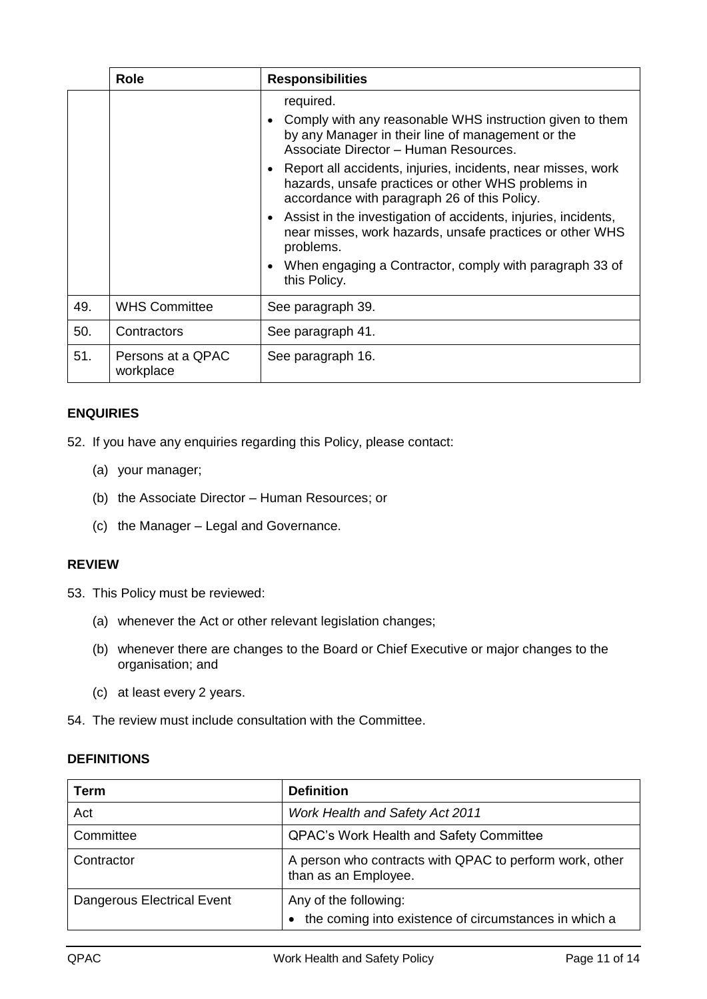|     | <b>Role</b>                    | <b>Responsibilities</b>                                                                                                                                                          |
|-----|--------------------------------|----------------------------------------------------------------------------------------------------------------------------------------------------------------------------------|
|     |                                | required.<br>Comply with any reasonable WHS instruction given to them<br>$\bullet$<br>by any Manager in their line of management or the<br>Associate Director - Human Resources. |
|     |                                | Report all accidents, injuries, incidents, near misses, work<br>$\bullet$<br>hazards, unsafe practices or other WHS problems in<br>accordance with paragraph 26 of this Policy.  |
|     |                                | Assist in the investigation of accidents, injuries, incidents,<br>$\bullet$<br>near misses, work hazards, unsafe practices or other WHS<br>problems.                             |
|     |                                | When engaging a Contractor, comply with paragraph 33 of<br>$\bullet$<br>this Policy.                                                                                             |
| 49. | <b>WHS Committee</b>           | See paragraph 39.                                                                                                                                                                |
| 50. | Contractors                    | See paragraph 41.                                                                                                                                                                |
| 51. | Persons at a QPAC<br>workplace | See paragraph 16.                                                                                                                                                                |

# <span id="page-10-3"></span><span id="page-10-0"></span>**ENQUIRIES**

52. If you have any enquiries regarding this Policy, please contact:

- (a) your manager;
- (b) the Associate Director Human Resources; or
- (c) the Manager Legal and Governance.

#### <span id="page-10-1"></span>**REVIEW**

<span id="page-10-4"></span>53. This Policy must be reviewed:

- (a) whenever the Act or other relevant legislation changes;
- (b) whenever there are changes to the Board or Chief Executive or major changes to the organisation; and
- (c) at least every 2 years.
- 54. The review must include consultation with the Committee.

#### <span id="page-10-2"></span>**DEFINITIONS**

| Term                       | <b>Definition</b>                                                               |
|----------------------------|---------------------------------------------------------------------------------|
| Act                        | <b>Work Health and Safety Act 2011</b>                                          |
| Committee                  | <b>QPAC's Work Health and Safety Committee</b>                                  |
| Contractor                 | A person who contracts with QPAC to perform work, other<br>than as an Employee. |
| Dangerous Electrical Event | Any of the following:<br>the coming into existence of circumstances in which a  |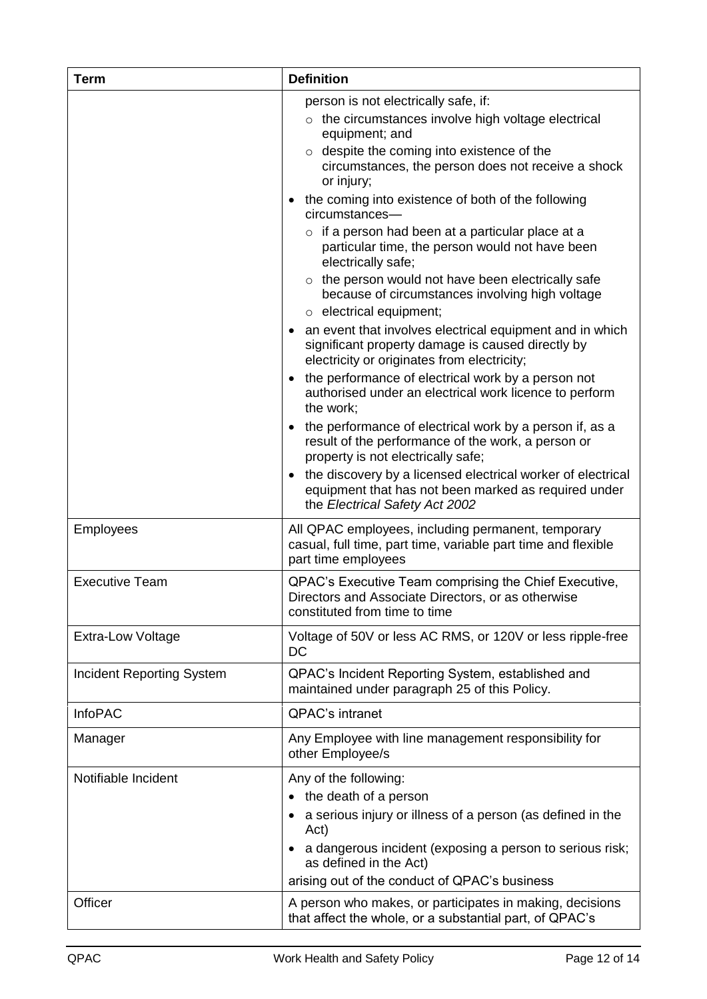| <b>Term</b>                      | <b>Definition</b>                                                                                                                                                                                                                                             |
|----------------------------------|---------------------------------------------------------------------------------------------------------------------------------------------------------------------------------------------------------------------------------------------------------------|
|                                  | person is not electrically safe, if:<br>$\circ$ the circumstances involve high voltage electrical<br>equipment; and<br>o despite the coming into existence of the<br>circumstances, the person does not receive a shock<br>or injury;                         |
|                                  | the coming into existence of both of the following<br>$\bullet$<br>circumstances-                                                                                                                                                                             |
|                                  | $\circ$ if a person had been at a particular place at a<br>particular time, the person would not have been<br>electrically safe;                                                                                                                              |
|                                  | $\circ$ the person would not have been electrically safe<br>because of circumstances involving high voltage<br>$\circ$ electrical equipment;                                                                                                                  |
|                                  | an event that involves electrical equipment and in which<br>significant property damage is caused directly by<br>electricity or originates from electricity;                                                                                                  |
|                                  | the performance of electrical work by a person not<br>$\bullet$<br>authorised under an electrical work licence to perform<br>the work;                                                                                                                        |
|                                  | the performance of electrical work by a person if, as a<br>result of the performance of the work, a person or<br>property is not electrically safe;                                                                                                           |
|                                  | the discovery by a licensed electrical worker of electrical<br>$\bullet$<br>equipment that has not been marked as required under<br>the Electrical Safety Act 2002                                                                                            |
| Employees                        | All QPAC employees, including permanent, temporary<br>casual, full time, part time, variable part time and flexible<br>part time employees                                                                                                                    |
| <b>Executive Team</b>            | QPAC's Executive Team comprising the Chief Executive,<br>Directors and Associate Directors, or as otherwise<br>constituted from time to time                                                                                                                  |
| <b>Extra-Low Voltage</b>         | Voltage of 50V or less AC RMS, or 120V or less ripple-free<br>DC                                                                                                                                                                                              |
| <b>Incident Reporting System</b> | QPAC's Incident Reporting System, established and<br>maintained under paragraph 25 of this Policy.                                                                                                                                                            |
| <b>InfoPAC</b>                   | QPAC's intranet                                                                                                                                                                                                                                               |
| Manager                          | Any Employee with line management responsibility for<br>other Employee/s                                                                                                                                                                                      |
| Notifiable Incident              | Any of the following:<br>• the death of a person<br>a serious injury or illness of a person (as defined in the<br>Act)<br>a dangerous incident (exposing a person to serious risk;<br>as defined in the Act)<br>arising out of the conduct of QPAC's business |
| Officer                          | A person who makes, or participates in making, decisions<br>that affect the whole, or a substantial part, of QPAC's                                                                                                                                           |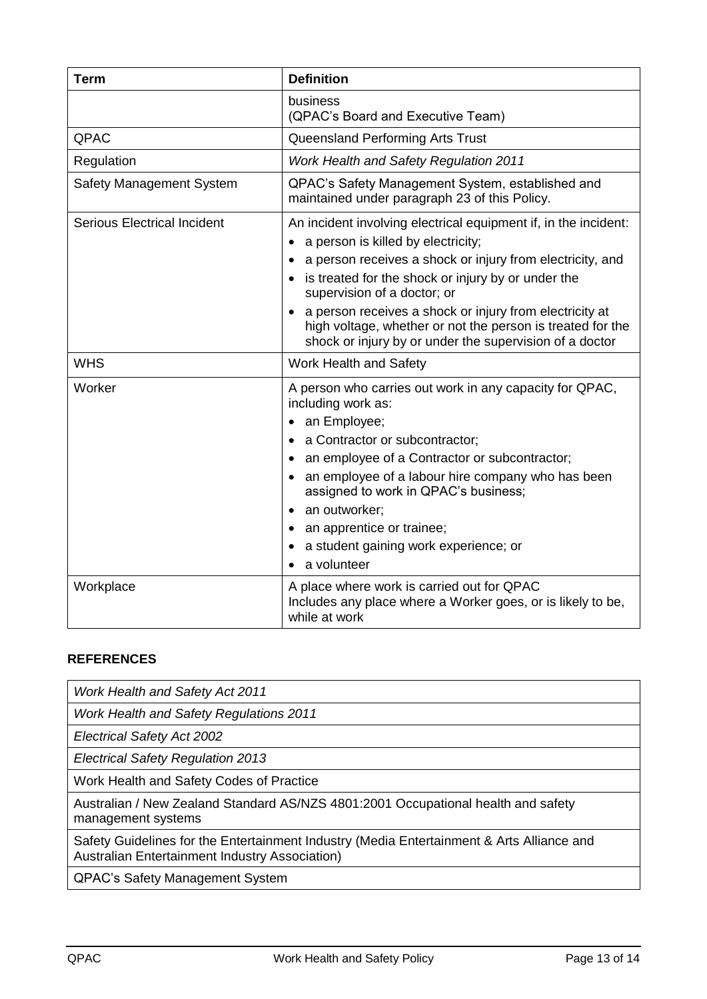| <b>Term</b>                        | <b>Definition</b>                                                                                                                                                                                                                                                                                                  |
|------------------------------------|--------------------------------------------------------------------------------------------------------------------------------------------------------------------------------------------------------------------------------------------------------------------------------------------------------------------|
|                                    | business<br>(QPAC's Board and Executive Team)                                                                                                                                                                                                                                                                      |
| QPAC                               | Queensland Performing Arts Trust                                                                                                                                                                                                                                                                                   |
| Regulation                         | Work Health and Safety Regulation 2011                                                                                                                                                                                                                                                                             |
| <b>Safety Management System</b>    | QPAC's Safety Management System, established and<br>maintained under paragraph 23 of this Policy.                                                                                                                                                                                                                  |
| <b>Serious Electrical Incident</b> | An incident involving electrical equipment if, in the incident:<br>a person is killed by electricity;<br>a person receives a shock or injury from electricity, and<br>is treated for the shock or injury by or under the<br>supervision of a doctor; or<br>a person receives a shock or injury from electricity at |
|                                    | high voltage, whether or not the person is treated for the<br>shock or injury by or under the supervision of a doctor                                                                                                                                                                                              |
| <b>WHS</b>                         | Work Health and Safety                                                                                                                                                                                                                                                                                             |
| Worker                             | A person who carries out work in any capacity for QPAC,<br>including work as:<br>an Employee;<br>٠                                                                                                                                                                                                                 |
|                                    | a Contractor or subcontractor;                                                                                                                                                                                                                                                                                     |
|                                    | an employee of a Contractor or subcontractor;<br>$\bullet$                                                                                                                                                                                                                                                         |
|                                    | an employee of a labour hire company who has been<br>assigned to work in QPAC's business;                                                                                                                                                                                                                          |
|                                    | an outworker;                                                                                                                                                                                                                                                                                                      |
|                                    | an apprentice or trainee;                                                                                                                                                                                                                                                                                          |
|                                    | a student gaining work experience; or<br>a volunteer                                                                                                                                                                                                                                                               |
| Workplace                          | A place where work is carried out for QPAC<br>Includes any place where a Worker goes, or is likely to be,<br>while at work                                                                                                                                                                                         |

# <span id="page-12-0"></span>**REFERENCES**

| <b>Work Health and Safety Act 2011</b>                                                                                                             |
|----------------------------------------------------------------------------------------------------------------------------------------------------|
| <b>Work Health and Safety Regulations 2011</b>                                                                                                     |
| <b>Electrical Safety Act 2002</b>                                                                                                                  |
| <b>Electrical Safety Regulation 2013</b>                                                                                                           |
| Work Health and Safety Codes of Practice                                                                                                           |
| Australian / New Zealand Standard AS/NZS 4801:2001 Occupational health and safety<br>management systems                                            |
| Safety Guidelines for the Entertainment Industry (Media Entertainment & Arts Alliance and<br><b>Australian Entertainment Industry Association)</b> |
| <b>QPAC's Safety Management System</b>                                                                                                             |